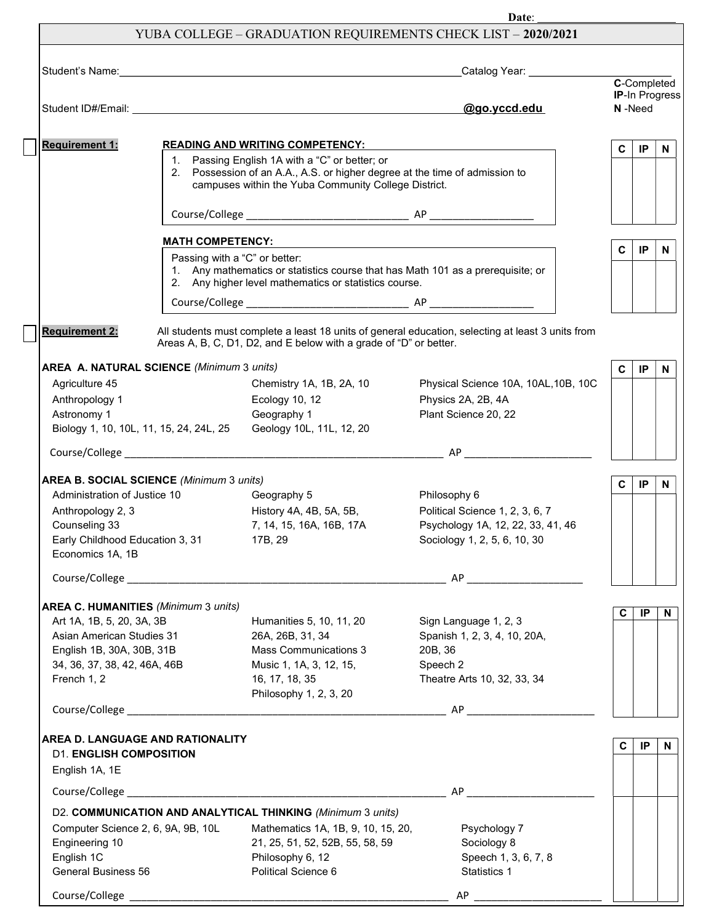| YUBA COLLEGE - GRADUATION REQUIREMENTS CHECK LIST - 2020/2021<br><b>C</b> -Completed<br><b>IP-In Progress</b><br>@go.yccd.edu<br>N-Need<br>Student ID#/Email: example and a strategy of the state of the state of the state of the state of the state of<br><b>Requirement 1:</b><br>READING AND WRITING COMPETENCY: NAMEL AND THE READING AND WRITING COMPETENCY:<br>$\mathbf{C}$<br>IP<br>1. Passing English 1A with a "C" or better; or<br>2. Possession of an A.A., A.S. or higher degree at the time of admission to<br>campuses within the Yuba Community College District.<br><b>MATH COMPETENCY:</b><br>C.<br>IP<br>Passing with a "C" or better:<br>1. Any mathematics or statistics course that has Math 101 as a prerequisite; or<br>2. Any higher level mathematics or statistics course.<br><b>Requirement 2:</b><br>All students must complete a least 18 units of general education, selecting at least 3 units from<br>Areas A, B, C, D1, D2, and E below with a grade of "D" or better.<br>AREA A. NATURAL SCIENCE (Minimum 3 units)<br>C<br>IP.<br>Agriculture 45<br>Chemistry 1A, 1B, 2A, 10<br>Physical Science 10A, 10AL, 10B, 10C<br>Ecology 10, 12<br>Physics 2A, 2B, 4A<br>Anthropology 1<br>Plant Science 20, 22<br>Astronomy 1<br>Geography 1<br>Biology 1, 10, 10L, 11, 15, 24, 24L, 25 Geology 10L, 11L, 12, 20<br><b>AREA B. SOCIAL SCIENCE (Minimum 3 units)</b><br>C.<br>IP<br>Administration of Justice 10<br>Philosophy 6<br>Geography 5<br>History 4A, 4B, 5A, 5B,<br>Political Science 1, 2, 3, 6, 7<br>Anthropology 2, 3<br>Counseling 33<br>7, 14, 15, 16A, 16B, 17A<br>Psychology 1A, 12, 22, 33, 41, 46<br>Early Childhood Education 3, 31<br>17B, 29<br>Sociology 1, 2, 5, 6, 10, 30<br>Economics 1A, 1B<br><b>AREA C. HUMANITIES (Minimum 3 units)</b><br>$\mathbf{C}$<br><b>IP</b><br>Sign Language 1, 2, 3<br>Art 1A, 1B, 5, 20, 3A, 3B<br>Humanities 5, 10, 11, 20<br>Asian American Studies 31<br>26A, 26B, 31, 34<br>Spanish 1, 2, 3, 4, 10, 20A,<br><b>Mass Communications 3</b><br>English 1B, 30A, 30B, 31B<br>20B, 36<br>34, 36, 37, 38, 42, 46A, 46B<br>Music 1, 1A, 3, 12, 15,<br>Speech 2<br>Theatre Arts 10, 32, 33, 34<br>French 1, 2<br>16, 17, 18, 35<br>Philosophy 1, 2, 3, 20<br>AREA D. LANGUAGE AND RATIONALITY<br>$\mathbf{C}$<br>IP<br><b>D1. ENGLISH COMPOSITION</b><br>English 1A, 1E<br>D2. COMMUNICATION AND ANALYTICAL THINKING (Minimum 3 units)<br>Computer Science 2, 6, 9A, 9B, 10L<br>Mathematics 1A, 1B, 9, 10, 15, 20,<br>Psychology 7<br>Sociology 8<br>Engineering 10<br>21, 25, 51, 52, 52B, 55, 58, 59<br>English 1C<br>Philosophy 6, 12<br>Speech 1, 3, 6, 7, 8<br>General Business 56<br>Political Science 6<br>Statistics 1 |  |  |  | Date: |  |  |              |  |  |  |
|---------------------------------------------------------------------------------------------------------------------------------------------------------------------------------------------------------------------------------------------------------------------------------------------------------------------------------------------------------------------------------------------------------------------------------------------------------------------------------------------------------------------------------------------------------------------------------------------------------------------------------------------------------------------------------------------------------------------------------------------------------------------------------------------------------------------------------------------------------------------------------------------------------------------------------------------------------------------------------------------------------------------------------------------------------------------------------------------------------------------------------------------------------------------------------------------------------------------------------------------------------------------------------------------------------------------------------------------------------------------------------------------------------------------------------------------------------------------------------------------------------------------------------------------------------------------------------------------------------------------------------------------------------------------------------------------------------------------------------------------------------------------------------------------------------------------------------------------------------------------------------------------------------------------------------------------------------------------------------------------------------------------------------------------------------------------------------------------------------------------------------------------------------------------------------------------------------------------------------------------------------------------------------------------------------------------------------------------------------------------------------------------------------------------------------------------------------------------------------------------------------------------------------------------------------------------------------------------------------------------------------------------------------------------------------------------------------------|--|--|--|-------|--|--|--------------|--|--|--|
|                                                                                                                                                                                                                                                                                                                                                                                                                                                                                                                                                                                                                                                                                                                                                                                                                                                                                                                                                                                                                                                                                                                                                                                                                                                                                                                                                                                                                                                                                                                                                                                                                                                                                                                                                                                                                                                                                                                                                                                                                                                                                                                                                                                                                                                                                                                                                                                                                                                                                                                                                                                                                                                                                                               |  |  |  |       |  |  |              |  |  |  |
|                                                                                                                                                                                                                                                                                                                                                                                                                                                                                                                                                                                                                                                                                                                                                                                                                                                                                                                                                                                                                                                                                                                                                                                                                                                                                                                                                                                                                                                                                                                                                                                                                                                                                                                                                                                                                                                                                                                                                                                                                                                                                                                                                                                                                                                                                                                                                                                                                                                                                                                                                                                                                                                                                                               |  |  |  |       |  |  |              |  |  |  |
|                                                                                                                                                                                                                                                                                                                                                                                                                                                                                                                                                                                                                                                                                                                                                                                                                                                                                                                                                                                                                                                                                                                                                                                                                                                                                                                                                                                                                                                                                                                                                                                                                                                                                                                                                                                                                                                                                                                                                                                                                                                                                                                                                                                                                                                                                                                                                                                                                                                                                                                                                                                                                                                                                                               |  |  |  |       |  |  |              |  |  |  |
|                                                                                                                                                                                                                                                                                                                                                                                                                                                                                                                                                                                                                                                                                                                                                                                                                                                                                                                                                                                                                                                                                                                                                                                                                                                                                                                                                                                                                                                                                                                                                                                                                                                                                                                                                                                                                                                                                                                                                                                                                                                                                                                                                                                                                                                                                                                                                                                                                                                                                                                                                                                                                                                                                                               |  |  |  |       |  |  |              |  |  |  |
|                                                                                                                                                                                                                                                                                                                                                                                                                                                                                                                                                                                                                                                                                                                                                                                                                                                                                                                                                                                                                                                                                                                                                                                                                                                                                                                                                                                                                                                                                                                                                                                                                                                                                                                                                                                                                                                                                                                                                                                                                                                                                                                                                                                                                                                                                                                                                                                                                                                                                                                                                                                                                                                                                                               |  |  |  |       |  |  |              |  |  |  |
|                                                                                                                                                                                                                                                                                                                                                                                                                                                                                                                                                                                                                                                                                                                                                                                                                                                                                                                                                                                                                                                                                                                                                                                                                                                                                                                                                                                                                                                                                                                                                                                                                                                                                                                                                                                                                                                                                                                                                                                                                                                                                                                                                                                                                                                                                                                                                                                                                                                                                                                                                                                                                                                                                                               |  |  |  |       |  |  | N            |  |  |  |
|                                                                                                                                                                                                                                                                                                                                                                                                                                                                                                                                                                                                                                                                                                                                                                                                                                                                                                                                                                                                                                                                                                                                                                                                                                                                                                                                                                                                                                                                                                                                                                                                                                                                                                                                                                                                                                                                                                                                                                                                                                                                                                                                                                                                                                                                                                                                                                                                                                                                                                                                                                                                                                                                                                               |  |  |  |       |  |  |              |  |  |  |
|                                                                                                                                                                                                                                                                                                                                                                                                                                                                                                                                                                                                                                                                                                                                                                                                                                                                                                                                                                                                                                                                                                                                                                                                                                                                                                                                                                                                                                                                                                                                                                                                                                                                                                                                                                                                                                                                                                                                                                                                                                                                                                                                                                                                                                                                                                                                                                                                                                                                                                                                                                                                                                                                                                               |  |  |  |       |  |  |              |  |  |  |
|                                                                                                                                                                                                                                                                                                                                                                                                                                                                                                                                                                                                                                                                                                                                                                                                                                                                                                                                                                                                                                                                                                                                                                                                                                                                                                                                                                                                                                                                                                                                                                                                                                                                                                                                                                                                                                                                                                                                                                                                                                                                                                                                                                                                                                                                                                                                                                                                                                                                                                                                                                                                                                                                                                               |  |  |  |       |  |  |              |  |  |  |
|                                                                                                                                                                                                                                                                                                                                                                                                                                                                                                                                                                                                                                                                                                                                                                                                                                                                                                                                                                                                                                                                                                                                                                                                                                                                                                                                                                                                                                                                                                                                                                                                                                                                                                                                                                                                                                                                                                                                                                                                                                                                                                                                                                                                                                                                                                                                                                                                                                                                                                                                                                                                                                                                                                               |  |  |  |       |  |  | N            |  |  |  |
|                                                                                                                                                                                                                                                                                                                                                                                                                                                                                                                                                                                                                                                                                                                                                                                                                                                                                                                                                                                                                                                                                                                                                                                                                                                                                                                                                                                                                                                                                                                                                                                                                                                                                                                                                                                                                                                                                                                                                                                                                                                                                                                                                                                                                                                                                                                                                                                                                                                                                                                                                                                                                                                                                                               |  |  |  |       |  |  |              |  |  |  |
|                                                                                                                                                                                                                                                                                                                                                                                                                                                                                                                                                                                                                                                                                                                                                                                                                                                                                                                                                                                                                                                                                                                                                                                                                                                                                                                                                                                                                                                                                                                                                                                                                                                                                                                                                                                                                                                                                                                                                                                                                                                                                                                                                                                                                                                                                                                                                                                                                                                                                                                                                                                                                                                                                                               |  |  |  |       |  |  |              |  |  |  |
|                                                                                                                                                                                                                                                                                                                                                                                                                                                                                                                                                                                                                                                                                                                                                                                                                                                                                                                                                                                                                                                                                                                                                                                                                                                                                                                                                                                                                                                                                                                                                                                                                                                                                                                                                                                                                                                                                                                                                                                                                                                                                                                                                                                                                                                                                                                                                                                                                                                                                                                                                                                                                                                                                                               |  |  |  |       |  |  |              |  |  |  |
|                                                                                                                                                                                                                                                                                                                                                                                                                                                                                                                                                                                                                                                                                                                                                                                                                                                                                                                                                                                                                                                                                                                                                                                                                                                                                                                                                                                                                                                                                                                                                                                                                                                                                                                                                                                                                                                                                                                                                                                                                                                                                                                                                                                                                                                                                                                                                                                                                                                                                                                                                                                                                                                                                                               |  |  |  |       |  |  |              |  |  |  |
|                                                                                                                                                                                                                                                                                                                                                                                                                                                                                                                                                                                                                                                                                                                                                                                                                                                                                                                                                                                                                                                                                                                                                                                                                                                                                                                                                                                                                                                                                                                                                                                                                                                                                                                                                                                                                                                                                                                                                                                                                                                                                                                                                                                                                                                                                                                                                                                                                                                                                                                                                                                                                                                                                                               |  |  |  |       |  |  |              |  |  |  |
|                                                                                                                                                                                                                                                                                                                                                                                                                                                                                                                                                                                                                                                                                                                                                                                                                                                                                                                                                                                                                                                                                                                                                                                                                                                                                                                                                                                                                                                                                                                                                                                                                                                                                                                                                                                                                                                                                                                                                                                                                                                                                                                                                                                                                                                                                                                                                                                                                                                                                                                                                                                                                                                                                                               |  |  |  |       |  |  | N            |  |  |  |
|                                                                                                                                                                                                                                                                                                                                                                                                                                                                                                                                                                                                                                                                                                                                                                                                                                                                                                                                                                                                                                                                                                                                                                                                                                                                                                                                                                                                                                                                                                                                                                                                                                                                                                                                                                                                                                                                                                                                                                                                                                                                                                                                                                                                                                                                                                                                                                                                                                                                                                                                                                                                                                                                                                               |  |  |  |       |  |  |              |  |  |  |
|                                                                                                                                                                                                                                                                                                                                                                                                                                                                                                                                                                                                                                                                                                                                                                                                                                                                                                                                                                                                                                                                                                                                                                                                                                                                                                                                                                                                                                                                                                                                                                                                                                                                                                                                                                                                                                                                                                                                                                                                                                                                                                                                                                                                                                                                                                                                                                                                                                                                                                                                                                                                                                                                                                               |  |  |  |       |  |  |              |  |  |  |
|                                                                                                                                                                                                                                                                                                                                                                                                                                                                                                                                                                                                                                                                                                                                                                                                                                                                                                                                                                                                                                                                                                                                                                                                                                                                                                                                                                                                                                                                                                                                                                                                                                                                                                                                                                                                                                                                                                                                                                                                                                                                                                                                                                                                                                                                                                                                                                                                                                                                                                                                                                                                                                                                                                               |  |  |  |       |  |  |              |  |  |  |
|                                                                                                                                                                                                                                                                                                                                                                                                                                                                                                                                                                                                                                                                                                                                                                                                                                                                                                                                                                                                                                                                                                                                                                                                                                                                                                                                                                                                                                                                                                                                                                                                                                                                                                                                                                                                                                                                                                                                                                                                                                                                                                                                                                                                                                                                                                                                                                                                                                                                                                                                                                                                                                                                                                               |  |  |  |       |  |  |              |  |  |  |
|                                                                                                                                                                                                                                                                                                                                                                                                                                                                                                                                                                                                                                                                                                                                                                                                                                                                                                                                                                                                                                                                                                                                                                                                                                                                                                                                                                                                                                                                                                                                                                                                                                                                                                                                                                                                                                                                                                                                                                                                                                                                                                                                                                                                                                                                                                                                                                                                                                                                                                                                                                                                                                                                                                               |  |  |  |       |  |  |              |  |  |  |
|                                                                                                                                                                                                                                                                                                                                                                                                                                                                                                                                                                                                                                                                                                                                                                                                                                                                                                                                                                                                                                                                                                                                                                                                                                                                                                                                                                                                                                                                                                                                                                                                                                                                                                                                                                                                                                                                                                                                                                                                                                                                                                                                                                                                                                                                                                                                                                                                                                                                                                                                                                                                                                                                                                               |  |  |  |       |  |  |              |  |  |  |
|                                                                                                                                                                                                                                                                                                                                                                                                                                                                                                                                                                                                                                                                                                                                                                                                                                                                                                                                                                                                                                                                                                                                                                                                                                                                                                                                                                                                                                                                                                                                                                                                                                                                                                                                                                                                                                                                                                                                                                                                                                                                                                                                                                                                                                                                                                                                                                                                                                                                                                                                                                                                                                                                                                               |  |  |  |       |  |  | $\mathsf{N}$ |  |  |  |
|                                                                                                                                                                                                                                                                                                                                                                                                                                                                                                                                                                                                                                                                                                                                                                                                                                                                                                                                                                                                                                                                                                                                                                                                                                                                                                                                                                                                                                                                                                                                                                                                                                                                                                                                                                                                                                                                                                                                                                                                                                                                                                                                                                                                                                                                                                                                                                                                                                                                                                                                                                                                                                                                                                               |  |  |  |       |  |  |              |  |  |  |
|                                                                                                                                                                                                                                                                                                                                                                                                                                                                                                                                                                                                                                                                                                                                                                                                                                                                                                                                                                                                                                                                                                                                                                                                                                                                                                                                                                                                                                                                                                                                                                                                                                                                                                                                                                                                                                                                                                                                                                                                                                                                                                                                                                                                                                                                                                                                                                                                                                                                                                                                                                                                                                                                                                               |  |  |  |       |  |  |              |  |  |  |
|                                                                                                                                                                                                                                                                                                                                                                                                                                                                                                                                                                                                                                                                                                                                                                                                                                                                                                                                                                                                                                                                                                                                                                                                                                                                                                                                                                                                                                                                                                                                                                                                                                                                                                                                                                                                                                                                                                                                                                                                                                                                                                                                                                                                                                                                                                                                                                                                                                                                                                                                                                                                                                                                                                               |  |  |  |       |  |  |              |  |  |  |
|                                                                                                                                                                                                                                                                                                                                                                                                                                                                                                                                                                                                                                                                                                                                                                                                                                                                                                                                                                                                                                                                                                                                                                                                                                                                                                                                                                                                                                                                                                                                                                                                                                                                                                                                                                                                                                                                                                                                                                                                                                                                                                                                                                                                                                                                                                                                                                                                                                                                                                                                                                                                                                                                                                               |  |  |  |       |  |  |              |  |  |  |
|                                                                                                                                                                                                                                                                                                                                                                                                                                                                                                                                                                                                                                                                                                                                                                                                                                                                                                                                                                                                                                                                                                                                                                                                                                                                                                                                                                                                                                                                                                                                                                                                                                                                                                                                                                                                                                                                                                                                                                                                                                                                                                                                                                                                                                                                                                                                                                                                                                                                                                                                                                                                                                                                                                               |  |  |  |       |  |  |              |  |  |  |
|                                                                                                                                                                                                                                                                                                                                                                                                                                                                                                                                                                                                                                                                                                                                                                                                                                                                                                                                                                                                                                                                                                                                                                                                                                                                                                                                                                                                                                                                                                                                                                                                                                                                                                                                                                                                                                                                                                                                                                                                                                                                                                                                                                                                                                                                                                                                                                                                                                                                                                                                                                                                                                                                                                               |  |  |  |       |  |  |              |  |  |  |
|                                                                                                                                                                                                                                                                                                                                                                                                                                                                                                                                                                                                                                                                                                                                                                                                                                                                                                                                                                                                                                                                                                                                                                                                                                                                                                                                                                                                                                                                                                                                                                                                                                                                                                                                                                                                                                                                                                                                                                                                                                                                                                                                                                                                                                                                                                                                                                                                                                                                                                                                                                                                                                                                                                               |  |  |  |       |  |  | N            |  |  |  |
|                                                                                                                                                                                                                                                                                                                                                                                                                                                                                                                                                                                                                                                                                                                                                                                                                                                                                                                                                                                                                                                                                                                                                                                                                                                                                                                                                                                                                                                                                                                                                                                                                                                                                                                                                                                                                                                                                                                                                                                                                                                                                                                                                                                                                                                                                                                                                                                                                                                                                                                                                                                                                                                                                                               |  |  |  |       |  |  |              |  |  |  |
|                                                                                                                                                                                                                                                                                                                                                                                                                                                                                                                                                                                                                                                                                                                                                                                                                                                                                                                                                                                                                                                                                                                                                                                                                                                                                                                                                                                                                                                                                                                                                                                                                                                                                                                                                                                                                                                                                                                                                                                                                                                                                                                                                                                                                                                                                                                                                                                                                                                                                                                                                                                                                                                                                                               |  |  |  |       |  |  |              |  |  |  |
|                                                                                                                                                                                                                                                                                                                                                                                                                                                                                                                                                                                                                                                                                                                                                                                                                                                                                                                                                                                                                                                                                                                                                                                                                                                                                                                                                                                                                                                                                                                                                                                                                                                                                                                                                                                                                                                                                                                                                                                                                                                                                                                                                                                                                                                                                                                                                                                                                                                                                                                                                                                                                                                                                                               |  |  |  |       |  |  |              |  |  |  |
|                                                                                                                                                                                                                                                                                                                                                                                                                                                                                                                                                                                                                                                                                                                                                                                                                                                                                                                                                                                                                                                                                                                                                                                                                                                                                                                                                                                                                                                                                                                                                                                                                                                                                                                                                                                                                                                                                                                                                                                                                                                                                                                                                                                                                                                                                                                                                                                                                                                                                                                                                                                                                                                                                                               |  |  |  |       |  |  |              |  |  |  |
|                                                                                                                                                                                                                                                                                                                                                                                                                                                                                                                                                                                                                                                                                                                                                                                                                                                                                                                                                                                                                                                                                                                                                                                                                                                                                                                                                                                                                                                                                                                                                                                                                                                                                                                                                                                                                                                                                                                                                                                                                                                                                                                                                                                                                                                                                                                                                                                                                                                                                                                                                                                                                                                                                                               |  |  |  |       |  |  |              |  |  |  |
|                                                                                                                                                                                                                                                                                                                                                                                                                                                                                                                                                                                                                                                                                                                                                                                                                                                                                                                                                                                                                                                                                                                                                                                                                                                                                                                                                                                                                                                                                                                                                                                                                                                                                                                                                                                                                                                                                                                                                                                                                                                                                                                                                                                                                                                                                                                                                                                                                                                                                                                                                                                                                                                                                                               |  |  |  |       |  |  |              |  |  |  |
|                                                                                                                                                                                                                                                                                                                                                                                                                                                                                                                                                                                                                                                                                                                                                                                                                                                                                                                                                                                                                                                                                                                                                                                                                                                                                                                                                                                                                                                                                                                                                                                                                                                                                                                                                                                                                                                                                                                                                                                                                                                                                                                                                                                                                                                                                                                                                                                                                                                                                                                                                                                                                                                                                                               |  |  |  |       |  |  |              |  |  |  |
|                                                                                                                                                                                                                                                                                                                                                                                                                                                                                                                                                                                                                                                                                                                                                                                                                                                                                                                                                                                                                                                                                                                                                                                                                                                                                                                                                                                                                                                                                                                                                                                                                                                                                                                                                                                                                                                                                                                                                                                                                                                                                                                                                                                                                                                                                                                                                                                                                                                                                                                                                                                                                                                                                                               |  |  |  |       |  |  | N            |  |  |  |
|                                                                                                                                                                                                                                                                                                                                                                                                                                                                                                                                                                                                                                                                                                                                                                                                                                                                                                                                                                                                                                                                                                                                                                                                                                                                                                                                                                                                                                                                                                                                                                                                                                                                                                                                                                                                                                                                                                                                                                                                                                                                                                                                                                                                                                                                                                                                                                                                                                                                                                                                                                                                                                                                                                               |  |  |  |       |  |  |              |  |  |  |
|                                                                                                                                                                                                                                                                                                                                                                                                                                                                                                                                                                                                                                                                                                                                                                                                                                                                                                                                                                                                                                                                                                                                                                                                                                                                                                                                                                                                                                                                                                                                                                                                                                                                                                                                                                                                                                                                                                                                                                                                                                                                                                                                                                                                                                                                                                                                                                                                                                                                                                                                                                                                                                                                                                               |  |  |  |       |  |  |              |  |  |  |
|                                                                                                                                                                                                                                                                                                                                                                                                                                                                                                                                                                                                                                                                                                                                                                                                                                                                                                                                                                                                                                                                                                                                                                                                                                                                                                                                                                                                                                                                                                                                                                                                                                                                                                                                                                                                                                                                                                                                                                                                                                                                                                                                                                                                                                                                                                                                                                                                                                                                                                                                                                                                                                                                                                               |  |  |  |       |  |  |              |  |  |  |
|                                                                                                                                                                                                                                                                                                                                                                                                                                                                                                                                                                                                                                                                                                                                                                                                                                                                                                                                                                                                                                                                                                                                                                                                                                                                                                                                                                                                                                                                                                                                                                                                                                                                                                                                                                                                                                                                                                                                                                                                                                                                                                                                                                                                                                                                                                                                                                                                                                                                                                                                                                                                                                                                                                               |  |  |  |       |  |  |              |  |  |  |
|                                                                                                                                                                                                                                                                                                                                                                                                                                                                                                                                                                                                                                                                                                                                                                                                                                                                                                                                                                                                                                                                                                                                                                                                                                                                                                                                                                                                                                                                                                                                                                                                                                                                                                                                                                                                                                                                                                                                                                                                                                                                                                                                                                                                                                                                                                                                                                                                                                                                                                                                                                                                                                                                                                               |  |  |  |       |  |  |              |  |  |  |
|                                                                                                                                                                                                                                                                                                                                                                                                                                                                                                                                                                                                                                                                                                                                                                                                                                                                                                                                                                                                                                                                                                                                                                                                                                                                                                                                                                                                                                                                                                                                                                                                                                                                                                                                                                                                                                                                                                                                                                                                                                                                                                                                                                                                                                                                                                                                                                                                                                                                                                                                                                                                                                                                                                               |  |  |  |       |  |  |              |  |  |  |
|                                                                                                                                                                                                                                                                                                                                                                                                                                                                                                                                                                                                                                                                                                                                                                                                                                                                                                                                                                                                                                                                                                                                                                                                                                                                                                                                                                                                                                                                                                                                                                                                                                                                                                                                                                                                                                                                                                                                                                                                                                                                                                                                                                                                                                                                                                                                                                                                                                                                                                                                                                                                                                                                                                               |  |  |  |       |  |  |              |  |  |  |
|                                                                                                                                                                                                                                                                                                                                                                                                                                                                                                                                                                                                                                                                                                                                                                                                                                                                                                                                                                                                                                                                                                                                                                                                                                                                                                                                                                                                                                                                                                                                                                                                                                                                                                                                                                                                                                                                                                                                                                                                                                                                                                                                                                                                                                                                                                                                                                                                                                                                                                                                                                                                                                                                                                               |  |  |  |       |  |  |              |  |  |  |